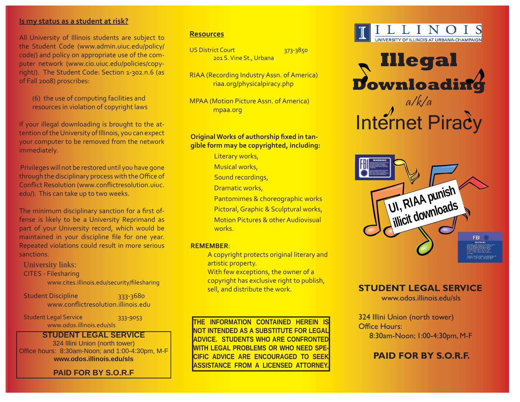#### **Is my status as a student at risk?**

All University of Illinois students are subject to the Student Code (www.admin.uiuc.edu/policy/ code/) and policy on appropriate use of the computer network (www.cio.uiuc.edu/policies/copyright/). The Student Code: Section 1-302.n.6 (as of Fall 2008) proscribes:

 (6) the use of computing facilities and resources in violation of copyright laws

If your illegal downloading is brought to the attention of the University of Illinois, you can expect your computer to be removed from the network immediately.

 Privileges will not be restored until you have gone through the disciplinary process with the Office of Conflict Resolution (www.conflictresolution.uiuc. edu/). This can take up to two weeks.

The minimum disciplinary sanction for a first offense is likely to be a University Reprimand as part of your University record, which would be maintained in your discipline file for one year. Repeated violations could result in more serious sanctions.

University links: CITES - Filesharing www.cites.illinois.edu/security/filesharing

Student Discipline 333-3680 www.conflictresolution.illinois.edu

Student Legal Service 333-9053 www.odos.illinois.edu/sls

#### **STUDENT LEGAL SERVICE**

324 Illini Union (north tower) Office hours: 8:30am-Noon; and 1:00-4:30pm, M-F **www.odos.illinois.edu/sls**

### **PAID FOR BY S.O.R.F**

#### **Resources**

US District Court 373-3850 201 S. Vine St., Urbana

RIAA (Recording Industry Assn. of America) riaa.org/physicalpiracy.php

MPAA (Motion Picture Assn. of America) mpaa.org

#### **Original Works of authorship fi xed in tangible form may be copyrighted, including:**

Literary works,

Musical works,

- Sound recordings,
- Dramatic works,
- Pantomimes & choreographic works
- Pictoral, Graphic & Sculptural works,
- Motion Pictures & other Audiovisual works.

#### **REMEMBER**:

- A copyright protects original literary and artistic property.
- With few exceptions, the owner of a copyright has exclusive right to publish, sell, and distribute the work.

**THE INFORMATION CONTAINED HEREIN IS NOT INTENDED AS A SUBSTITUTE FOR LEGAL ADVICE. STUDENTS WHO ARE CONFRONTED WITH LEGAL PROBLEMS OR WHO NEED SPE-CIFIC ADVICE ARE ENCOURAGED TO SEEK ASSISTANCE FROM A LICENSED ATTORNEY.**







# **STUDENT LEGAL SERVICE**

www.odos.illinois.edu/sls

324 Illini Union (north tower) Office Hours: 8:30am-Noon; 1:00-4:30pm, M-F

# **PAID FOR BY S.O.R.F.**